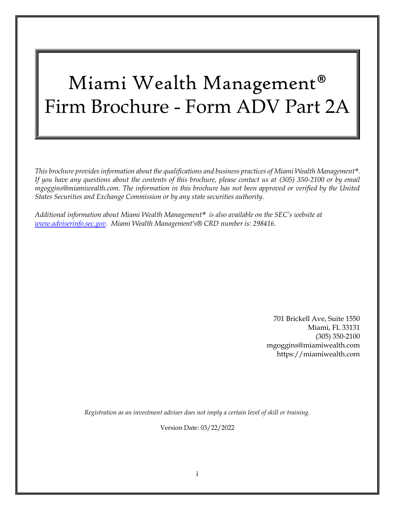# Miami Wealth Management® Firm Brochure - Form ADV Part 2A

*This brochure provides information about the qualifications and business practices of Miami Wealth Management®. If you have any questions about the contents of this brochure, please contact us at (305) 350-2100 or by email mgoggins@miamiwealth.com. The information in this brochure has not been approved or verified by the United States Securities and Exchange Commission or by any state securities authority.*

*Additional information about Miami Wealth Management® is also available on the SEC's website at [www.adviserinfo.sec.gov.](file:///C:/Users/Ann%20Hauerland/Downloads/www.adviserinfo.sec.gov) Miami Wealth Management's® CRD number is: 298416*.

> 701 Brickell Ave, Suite 1550 Miami, FL 33131 (305) 350-2100 mgoggins@miamiwealth.com https://miamiwealth.com

*Registration as an investment adviser does not imply a certain level of skill or training.*

Version Date: 03/22/2022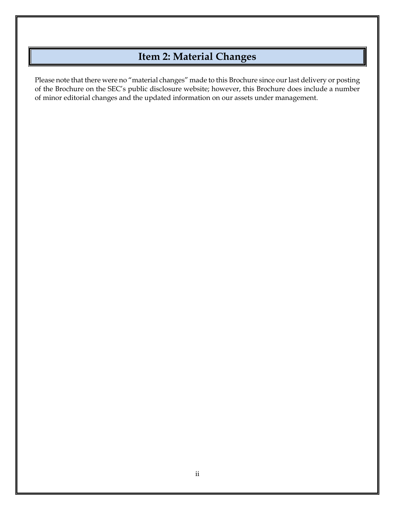# **Item 2: Material Changes**

<span id="page-1-0"></span>Please note that there were no "material changes" made to this Brochure since our last delivery or posting of the Brochure on the SEC's public disclosure website; however, this Brochure does include a number of minor editorial changes and the updated information on our assets under management.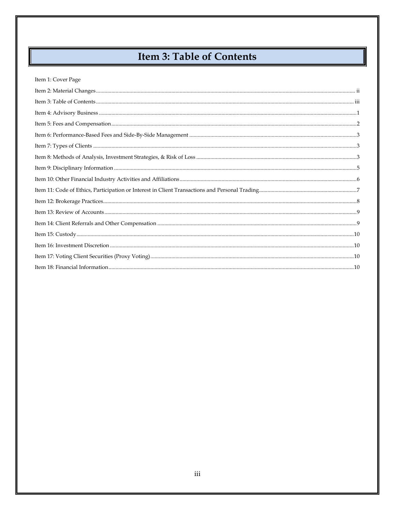# Item 3: Table of Contents

#### <span id="page-2-0"></span>Item 1: Cover Page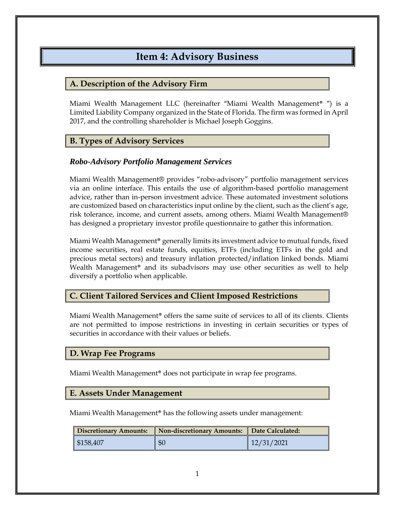### **Item 4: Advisory Business**

### <span id="page-3-0"></span>**A. Description of the Advisory Firm**

Miami Wealth Management LLC (hereinafter "Miami Wealth Management® ") is a Limited Liability Company organized in the State of Florida. The firm was formed in April 2017, and the controlling shareholder is Michael Joseph Goggins.

### **B. Types of Advisory Services**

#### *Robo-Advisory Portfolio Management Services*

Miami Wealth Management® provides "robo-advisory" portfolio management services via an online interface. This entails the use of algorithm-based portfolio management advice, rather than in-person investment advice. These automated investment solutions are customized based on characteristics input online by the client, such as the client's age, risk tolerance, income, and current assets, among others. Miami Wealth Management® has designed a proprietary investor profile questionnaire to gather this information.

Miami Wealth Management® generally limits its investment advice to mutual funds, fixed income securities, real estate funds, equities, ETFs (including ETFs in the gold and precious metal sectors) and treasury inflation protected/inflation linked bonds. Miami Wealth Management® and its subadvisors may use other securities as well to help diversify a portfolio when applicable.

### **C. Client Tailored Services and Client Imposed Restrictions**

Miami Wealth Management® offers the same suite of services to all of its clients. Clients are not permitted to impose restrictions in investing in certain securities or types of securities in accordance with their values or beliefs.

### **D. Wrap Fee Programs**

Miami Wealth Management® does not participate in wrap fee programs.

#### **E. Assets Under Management**

Miami Wealth Management® has the following assets under management:

| Discretionary Amounts: | Non-discretionary Amounts:    Date Calculated: |            |
|------------------------|------------------------------------------------|------------|
| \$158,407              | \$0                                            | 12/31/2021 |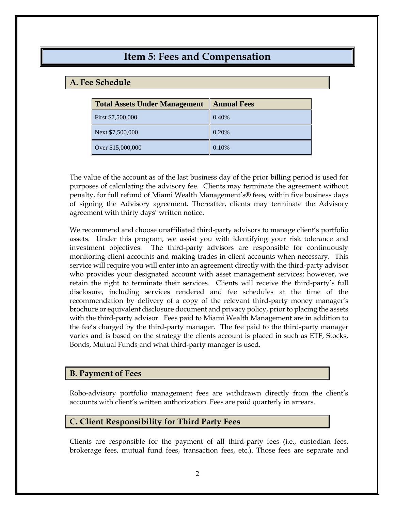### **Item 5: Fees and Compensation**

### <span id="page-4-0"></span>**A. Fee Schedule**

| <b>Total Assets Under Management   Annual Fees</b> |       |
|----------------------------------------------------|-------|
| First \$7,500,000                                  | 0.40% |
| Next \$7,500,000                                   | 0.20% |
| Over \$15,000,000                                  | 0.10% |

The value of the account as of the last business day of the prior billing period is used for purposes of calculating the advisory fee. Clients may terminate the agreement without penalty, for full refund of Miami Wealth Management's® fees, within five business days of signing the Advisory agreement. Thereafter, clients may terminate the Advisory agreement with thirty days' written notice.

We recommend and choose unaffiliated third-party advisors to manage client's portfolio assets. Under this program, we assist you with identifying your risk tolerance and investment objectives. The third-party advisors are responsible for continuously monitoring client accounts and making trades in client accounts when necessary. This service will require you will enter into an agreement directly with the third-party advisor who provides your designated account with asset management services; however, we retain the right to terminate their services. Clients will receive the third-party's full disclosure, including services rendered and fee schedules at the time of the recommendation by delivery of a copy of the relevant third-party money manager's brochure or equivalent disclosure document and privacy policy, prior to placing the assets with the third-party advisor. Fees paid to Miami Wealth Management are in addition to the fee's charged by the third-party manager. The fee paid to the third-party manager varies and is based on the strategy the clients account is placed in such as ETF, Stocks, Bonds, Mutual Funds and what third-party manager is used.

#### **B. Payment of Fees**

Robo-advisory portfolio management fees are withdrawn directly from the client's accounts with client's written authorization. Fees are paid quarterly in arrears.

### **C. Client Responsibility for Third Party Fees**

Clients are responsible for the payment of all third-party fees (i.e., custodian fees, brokerage fees, mutual fund fees, transaction fees, etc.). Those fees are separate and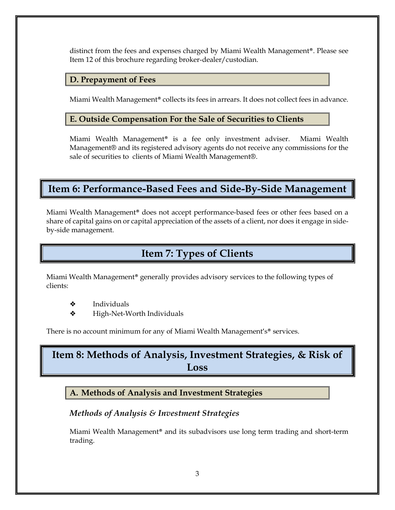distinct from the fees and expenses charged by Miami Wealth Management®. Please see Item 12 of this brochure regarding broker-dealer/custodian.

#### **D. Prepayment of Fees**

Miami Wealth Management<sup>®</sup> collects its fees in arrears. It does not collect fees in advance.

### **E. Outside Compensation For the Sale of Securities to Clients**

Miami Wealth Management® is a fee only investment adviser. Miami Wealth Management® and its registered advisory agents do not receive any commissions for the sale of securities to clients of Miami Wealth Management®.

### <span id="page-5-0"></span>**Item 6: Performance-Based Fees and Side-By-Side Management**

Miami Wealth Management® does not accept performance-based fees or other fees based on a share of capital gains on or capital appreciation of the assets of a client, nor does it engage in sideby-side management.

# **Item 7: Types of Clients**

<span id="page-5-1"></span>Miami Wealth Management® generally provides advisory services to the following types of clients:

- ❖ Individuals
- ❖ High-Net-Worth Individuals

There is no account minimum for any of Miami Wealth Management's<sup>®</sup> services.

# <span id="page-5-2"></span>**Item 8: Methods of Analysis, Investment Strategies, & Risk of Loss**

### **A. Methods of Analysis and Investment Strategies**

### *Methods of Analysis & Investment Strategies*

Miami Wealth Management® and its subadvisors use long term trading and short-term trading.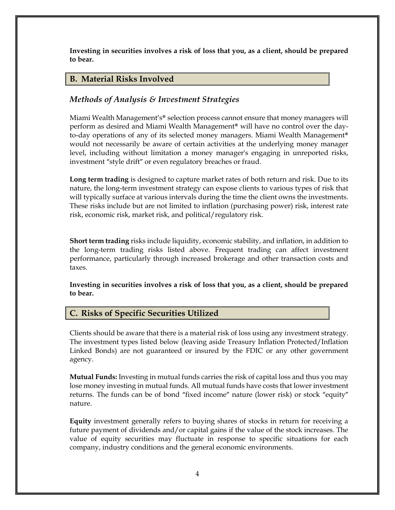**Investing in securities involves a risk of loss that you, as a client, should be prepared to bear.**

### **B. Material Risks Involved**

### *Methods of Analysis & Investment Strategies*

Miami Wealth Management's® selection process cannot ensure that money managers will perform as desired and Miami Wealth Management® will have no control over the dayto-day operations of any of its selected money managers. Miami Wealth Management® would not necessarily be aware of certain activities at the underlying money manager level, including without limitation a money manager's engaging in unreported risks, investment "style drift" or even regulatory breaches or fraud.

**Long term trading** is designed to capture market rates of both return and risk. Due to its nature, the long-term investment strategy can expose clients to various types of risk that will typically surface at various intervals during the time the client owns the investments. These risks include but are not limited to inflation (purchasing power) risk, interest rate risk, economic risk, market risk, and political/regulatory risk.

**Short term trading** risks include liquidity, economic stability, and inflation, in addition to the long-term trading risks listed above. Frequent trading can affect investment performance, particularly through increased brokerage and other transaction costs and taxes.

**Investing in securities involves a risk of loss that you, as a client, should be prepared to bear.**

#### **C. Risks of Specific Securities Utilized**

Clients should be aware that there is a material risk of loss using any investment strategy. The investment types listed below (leaving aside Treasury Inflation Protected/Inflation Linked Bonds) are not guaranteed or insured by the FDIC or any other government agency.

**Mutual Funds:** Investing in mutual funds carries the risk of capital loss and thus you may lose money investing in mutual funds. All mutual funds have costs that lower investment returns. The funds can be of bond "fixed income" nature (lower risk) or stock "equity" nature.

**Equity** investment generally refers to buying shares of stocks in return for receiving a future payment of dividends and/or capital gains if the value of the stock increases. The value of equity securities may fluctuate in response to specific situations for each company, industry conditions and the general economic environments.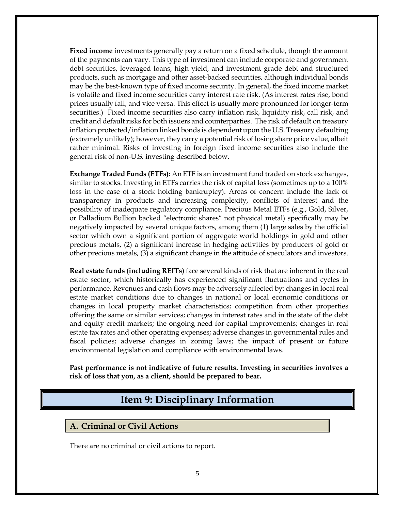**Fixed income** investments generally pay a return on a fixed schedule, though the amount of the payments can vary. This type of investment can include corporate and government debt securities, leveraged loans, high yield, and investment grade debt and structured products, such as mortgage and other asset-backed securities, although individual bonds may be the best-known type of fixed income security. In general, the fixed income market is volatile and fixed income securities carry interest rate risk. (As interest rates rise, bond prices usually fall, and vice versa. This effect is usually more pronounced for longer-term securities.) Fixed income securities also carry inflation risk, liquidity risk, call risk, and credit and default risks for both issuers and counterparties. The risk of default on treasury inflation protected/inflation linked bonds is dependent upon the U.S. Treasury defaulting (extremely unlikely); however, they carry a potential risk of losing share price value, albeit rather minimal. Risks of investing in foreign fixed income securities also include the general risk of non-U.S. investing described below.

**Exchange Traded Funds (ETFs):** An ETF is an investment fund traded on stock exchanges, similar to stocks. Investing in ETFs carries the risk of capital loss (sometimes up to a 100% loss in the case of a stock holding bankruptcy). Areas of concern include the lack of transparency in products and increasing complexity, conflicts of interest and the possibility of inadequate regulatory compliance. Precious Metal ETFs (e.g., Gold, Silver, or Palladium Bullion backed "electronic shares" not physical metal) specifically may be negatively impacted by several unique factors, among them (1) large sales by the official sector which own a significant portion of aggregate world holdings in gold and other precious metals, (2) a significant increase in hedging activities by producers of gold or other precious metals, (3) a significant change in the attitude of speculators and investors.

**Real estate funds (including REITs)** face several kinds of risk that are inherent in the real estate sector, which historically has experienced significant fluctuations and cycles in performance. Revenues and cash flows may be adversely affected by: changes in local real estate market conditions due to changes in national or local economic conditions or changes in local property market characteristics; competition from other properties offering the same or similar services; changes in interest rates and in the state of the debt and equity credit markets; the ongoing need for capital improvements; changes in real estate tax rates and other operating expenses; adverse changes in governmental rules and fiscal policies; adverse changes in zoning laws; the impact of present or future environmental legislation and compliance with environmental laws.

<span id="page-7-0"></span>**Past performance is not indicative of future results. Investing in securities involves a risk of loss that you, as a client, should be prepared to bear.**

### **Item 9: Disciplinary Information**

#### **A. Criminal or Civil Actions**

There are no criminal or civil actions to report.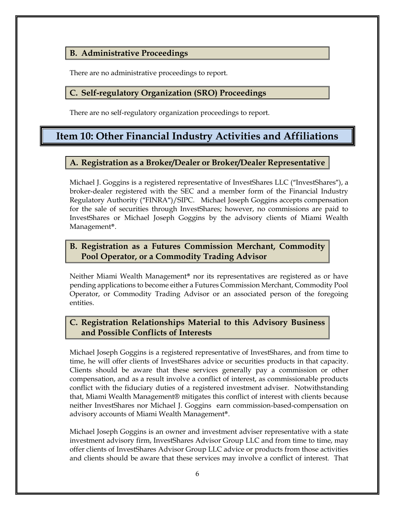### **B. Administrative Proceedings**

There are no administrative proceedings to report.

### **C. Self-regulatory Organization (SRO) Proceedings**

There are no self-regulatory organization proceedings to report.

### <span id="page-8-0"></span>**Item 10: Other Financial Industry Activities and Affiliations**

### **A. Registration as a Broker/Dealer or Broker/Dealer Representative**

Michael J. Goggins is a registered representative of InvestShares LLC ("InvestShares"), a broker-dealer registered with the SEC and a member form of the Financial Industry Regulatory Authority ("FINRA")/SIPC. Michael Joseph Goggins accepts compensation for the sale of securities through InvestShares; however, no commissions are paid to InvestShares or Michael Joseph Goggins by the advisory clients of Miami Wealth Management®.

### **B. Registration as a Futures Commission Merchant, Commodity Pool Operator, or a Commodity Trading Advisor**

Neither Miami Wealth Management® nor its representatives are registered as or have pending applications to become either a Futures Commission Merchant, Commodity Pool Operator, or Commodity Trading Advisor or an associated person of the foregoing entities.

### **C. Registration Relationships Material to this Advisory Business and Possible Conflicts of Interests**

Michael Joseph Goggins is a registered representative of InvestShares, and from time to time, he will offer clients of InvestShares advice or securities products in that capacity. Clients should be aware that these services generally pay a commission or other compensation, and as a result involve a conflict of interest, as commissionable products conflict with the fiduciary duties of a registered investment adviser. Notwithstanding that, Miami Wealth Management® mitigates this conflict of interest with clients because neither InvestShares nor Michael J. Goggins earn commission-based-compensation on advisory accounts of Miami Wealth Management®.

Michael Joseph Goggins is an owner and investment adviser representative with a state investment advisory firm, InvestShares Advisor Group LLC and from time to time, may offer clients of InvestShares Advisor Group LLC advice or products from those activities and clients should be aware that these services may involve a conflict of interest. That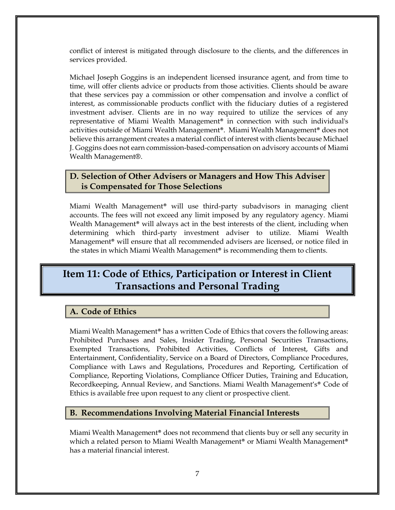conflict of interest is mitigated through disclosure to the clients, and the differences in services provided.

Michael Joseph Goggins is an independent licensed insurance agent, and from time to time, will offer clients advice or products from those activities. Clients should be aware that these services pay a commission or other compensation and involve a conflict of interest, as commissionable products conflict with the fiduciary duties of a registered investment adviser. Clients are in no way required to utilize the services of any representative of Miami Wealth Management® in connection with such individual's activities outside of Miami Wealth Management®. Miami Wealth Management® does not believe this arrangement creates a material conflict of interest with clients because Michael J. Goggins does not earn commission-based-compensation on advisory accounts of Miami Wealth Management®.

### **D. Selection of Other Advisers or Managers and How This Adviser is Compensated for Those Selections**

Miami Wealth Management® will use third-party subadvisors in managing client accounts. The fees will not exceed any limit imposed by any regulatory agency. Miami Wealth Management<sup>®</sup> will always act in the best interests of the client, including when determining which third-party investment adviser to utilize. Miami Wealth Management® will ensure that all recommended advisers are licensed, or notice filed in the states in which Miami Wealth Management® is recommending them to clients.

### <span id="page-9-0"></span>**Item 11: Code of Ethics, Participation or Interest in Client Transactions and Personal Trading**

### **A. Code of Ethics**

Miami Wealth Management® has a written Code of Ethics that covers the following areas: Prohibited Purchases and Sales, Insider Trading, Personal Securities Transactions, Exempted Transactions, Prohibited Activities, Conflicts of Interest, Gifts and Entertainment, Confidentiality, Service on a Board of Directors, Compliance Procedures, Compliance with Laws and Regulations, Procedures and Reporting, Certification of Compliance, Reporting Violations, Compliance Officer Duties, Training and Education, Recordkeeping, Annual Review, and Sanctions. Miami Wealth Management's® Code of Ethics is available free upon request to any client or prospective client.

### **B. Recommendations Involving Material Financial Interests**

Miami Wealth Management® does not recommend that clients buy or sell any security in which a related person to Miami Wealth Management<sup>®</sup> or Miami Wealth Management<sup>®</sup> has a material financial interest.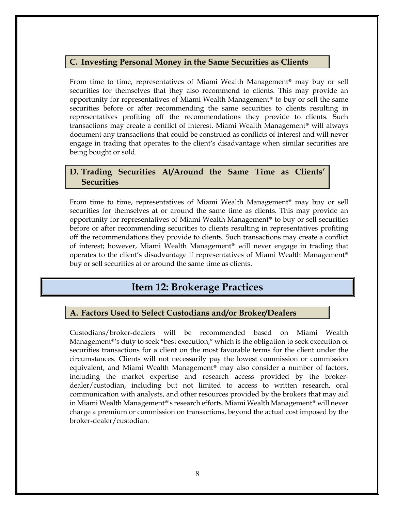#### **C. Investing Personal Money in the Same Securities as Clients**

From time to time, representatives of Miami Wealth Management® may buy or sell securities for themselves that they also recommend to clients. This may provide an opportunity for representatives of Miami Wealth Management® to buy or sell the same securities before or after recommending the same securities to clients resulting in representatives profiting off the recommendations they provide to clients. Such transactions may create a conflict of interest. Miami Wealth Management® will always document any transactions that could be construed as conflicts of interest and will never engage in trading that operates to the client's disadvantage when similar securities are being bought or sold.

### **D. Trading Securities At/Around the Same Time as Clients' Securities**

From time to time, representatives of Miami Wealth Management® may buy or sell securities for themselves at or around the same time as clients. This may provide an opportunity for representatives of Miami Wealth Management® to buy or sell securities before or after recommending securities to clients resulting in representatives profiting off the recommendations they provide to clients. Such transactions may create a conflict of interest; however, Miami Wealth Management® will never engage in trading that operates to the client's disadvantage if representatives of Miami Wealth Management® buy or sell securities at or around the same time as clients.

### **Item 12: Brokerage Practices**

### <span id="page-10-0"></span>**A. Factors Used to Select Custodians and/or Broker/Dealers**

Custodians/broker-dealers will be recommended based on Miami Wealth Management®'s duty to seek "best execution," which is the obligation to seek execution of securities transactions for a client on the most favorable terms for the client under the circumstances. Clients will not necessarily pay the lowest commission or commission equivalent, and Miami Wealth Management® may also consider a number of factors, including the market expertise and research access provided by the brokerdealer/custodian, including but not limited to access to written research, oral communication with analysts, and other resources provided by the brokers that may aid in Miami Wealth Management®'s research efforts. Miami Wealth Management® will never charge a premium or commission on transactions, beyond the actual cost imposed by the broker-dealer/custodian.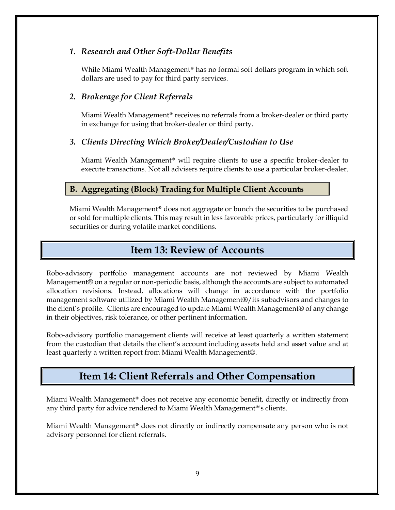### *1. Research and Other Soft-Dollar Benefits*

While Miami Wealth Management® has no formal soft dollars program in which soft dollars are used to pay for third party services.

### *2. Brokerage for Client Referrals*

Miami Wealth Management® receives no referrals from a broker-dealer or third party in exchange for using that broker-dealer or third party.

#### *3. Clients Directing Which Broker/Dealer/Custodian to Use*

Miami Wealth Management® will require clients to use a specific broker-dealer to execute transactions. Not all advisers require clients to use a particular broker-dealer.

### **B. Aggregating (Block) Trading for Multiple Client Accounts**

Miami Wealth Management® does not aggregate or bunch the securities to be purchased or sold for multiple clients. This may result in less favorable prices, particularly for illiquid securities or during volatile market conditions.

### **Item 13: Review of Accounts**

<span id="page-11-0"></span>Robo-advisory portfolio management accounts are not reviewed by Miami Wealth Management® on a regular or non-periodic basis, although the accounts are subject to automated allocation revisions. Instead, allocations will change in accordance with the portfolio management software utilized by Miami Wealth Management®/its subadvisors and changes to the client's profile. Clients are encouraged to update Miami Wealth Management® of any change in their objectives, risk tolerance, or other pertinent information.

Robo-advisory portfolio management clients will receive at least quarterly a written statement from the custodian that details the client's account including assets held and asset value and at least quarterly a written report from Miami Wealth Management®.

### **Item 14: Client Referrals and Other Compensation**

<span id="page-11-1"></span>Miami Wealth Management® does not receive any economic benefit, directly or indirectly from any third party for advice rendered to Miami Wealth Management®'s clients.

Miami Wealth Management® does not directly or indirectly compensate any person who is not advisory personnel for client referrals.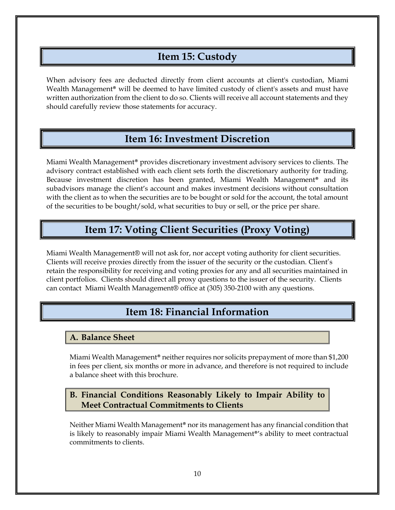### **Item 15: Custody**

<span id="page-12-0"></span>When advisory fees are deducted directly from client accounts at client's custodian, Miami Wealth Management<sup>®</sup> will be deemed to have limited custody of client's assets and must have written authorization from the client to do so. Clients will receive all account statements and they should carefully review those statements for accuracy.

### **Item 16: Investment Discretion**

<span id="page-12-1"></span>Miami Wealth Management® provides discretionary investment advisory services to clients. The advisory contract established with each client sets forth the discretionary authority for trading. Because investment discretion has been granted, Miami Wealth Management® and its subadvisors manage the client's account and makes investment decisions without consultation with the client as to when the securities are to be bought or sold for the account, the total amount of the securities to be bought/sold, what securities to buy or sell, or the price per share.

### **Item 17: Voting Client Securities (Proxy Voting)**

<span id="page-12-2"></span>Miami Wealth Management® will not ask for, nor accept voting authority for client securities. Clients will receive proxies directly from the issuer of the security or the custodian. Client's retain the responsibility for receiving and voting proxies for any and all securities maintained in client portfolios. Clients should direct all proxy questions to the issuer of the security. Clients can contact Miami Wealth Management® office at (305) 350-2100 with any questions.

# **Item 18: Financial Information**

### <span id="page-12-3"></span>**A. Balance Sheet**

Miami Wealth Management® neither requires nor solicits prepayment of more than \$1,200 in fees per client, six months or more in advance, and therefore is not required to include a balance sheet with this brochure.

### **B. Financial Conditions Reasonably Likely to Impair Ability to Meet Contractual Commitments to Clients**

Neither Miami Wealth Management® nor its management has any financial condition that is likely to reasonably impair Miami Wealth Management®'s ability to meet contractual commitments to clients.